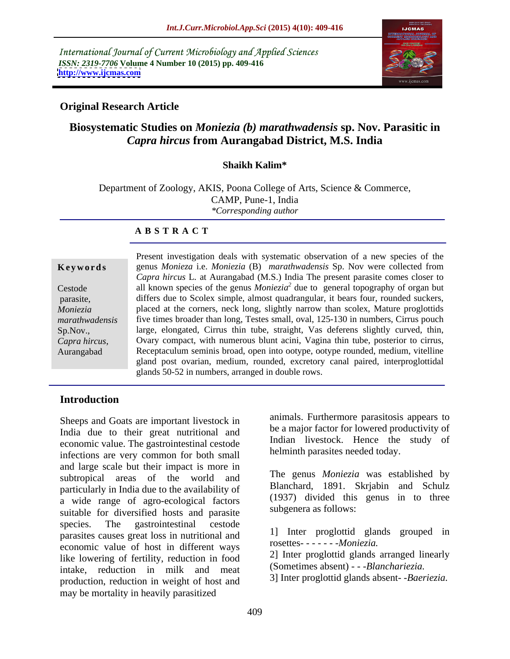International Journal of Current Microbiology and Applied Sciences *ISSN: 2319-7706* **Volume 4 Number 10 (2015) pp. 409-416 <http://www.ijcmas.com>**



## **Original Research Article**

# **Biosystematic Studies on** *Moniezia (b) marathwadensis* **sp. Nov. Parasitic in**  *Capra hircus* **from Aurangabad District, M.S. India**

### **Shaikh Kalim\***

Department of Zoology, AKIS, Poona College of Arts, Science & Commerce, CAMP, Pune-1, India *\*Corresponding author*

### **A B S T R A C T**

Sp.Nov.*, Capra hircus*, Aurangabad

Present investigation deals with systematic observation of a new species of the **Keywords** genus *Monieza* i.e. *Moniezia* (B) *marathwadensis* Sp. Nov were collected from *Capra hircus* L*.* at Aurangabad (M.S.) India The present parasite comes closer to Cestode all known species of the genus *Moniezia*<sup>2</sup> due to general topography of organ but parasite, differs due to Scolex simple, almost quadrangular, it bears four, rounded suckers, *Moniezia* Placed at the corners, neck long, slightly narrow than scolex, Mature proglottids marathwadensis five times broader than long, Testes small, oval, 125-130 in numbers, Cirrus pouch large, elongated, Cirrus thin tube, straight, Vas deferens slightly curved, thin, Ovary compact, with numerous blunt acini, Vagina thin tube, posterior to cirrus, Receptaculum seminis broad, open into ootype, ootype rounded, medium, vitelline gland post ovarian, medium, rounded, excretory canal paired, interproglottidal glands 50-52 in numbers, arranged in double rows.

### **Introduction**

Sheeps and Goats are important livestock in India due to their great nutritional and economic value. The gastrointestinal cestode infections are very common for both small and large scale but their impact is more in subtropical areas of the world and particularly in India due to the availability of a wide range of agro-ecological factors suitable for diversified hosts and parasite species. The gastrointestinal cestode parasites causes great loss in nutritional and economic value of host in different ways like lowering of fertility, reduction in food intake, reduction in milk and meat production, reduction in weight of host and may be mortality in heavily parasitized

animals. Furthermore parasitosis appears to be a major factor for lowered productivity of Indian livestock. Hence the study of helminth parasites needed today.

The genus *Moniezia* was established by Blanchard, 1891. Skrjabin and Schulz (1937) divided this genus in to three subgenera as follows:

1] Inter proglottid glands grouped in rosettes- - - - - - -*Moniezia.*

2] Inter proglottid glands arranged linearly (Sometimes absent) - - -*Blanchariezia.*

3] Inter proglottid glands absent- -*Baeriezia.*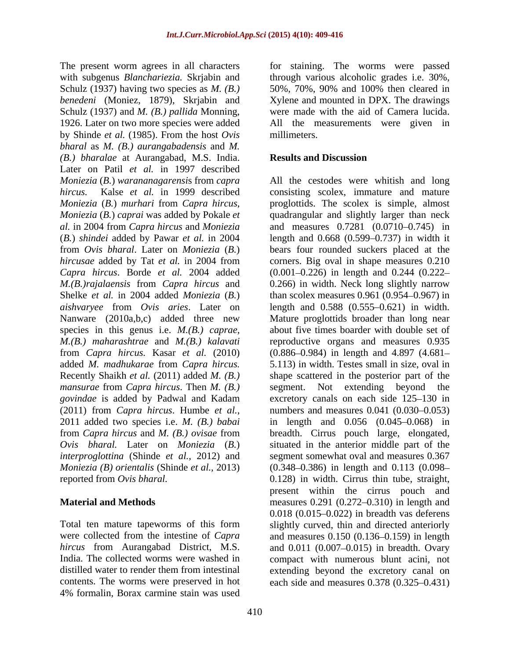The present worm agrees in all characters for staining. The worms were passed with subgenus *Blanchariezia.* Skrjabin and through various alcoholic grades i.e. 30%, Schulz (1937) having two species as *M. (B.) benedeni* (Moniez, 1879), Skrjabin and Schulz (1937) and *M. (B.) pallida* Monning, 1926. Later on two more species were added All the measurements were given in by Shinde *et al.* (1985). From the host *Ovis bharal* as *M. (B.) aurangabadensis* and *M. (B.) bharalae* at Aurangabad, M.S. India. Later on Patil *et al.* in 1997 described *Moniezia* (*B.*) *warananagarensi*s from *capra*  All the cestodes were whitish and long *hircus.* Kalse *et al.* in 1999 described consisting scolex, immature and mature *Moniezia* (*B.*) *murhari* from *Capra hircus*, proglottids. The scolex is simple, almost *Moniezia* (*B.*) *caprai* was added by Pokale *et*  quadrangular and slightly larger than neck *al.* in 2004 from *Capra hircus* and *Moniezia* and measures 0.7281 (0.0710–0.745) in (*B.*) *shindei* added by Pawar *et al.* in 2004 length and 0.668 (0.599 0.737) in width it from *Ovis bharal*. Later on *Moniezia* (*B.*) bears four rounded suckers placed at the *hircusae* added by Tat *et al.* in 2004 from corners. Big oval in shape measures 0.210 *Capra hircus*. Borde *et al.* 2004 added *M.(B.)rajalaensis* from *Capra hircus* and 0.266) in width. Neck long slightly narrow Shelke *et al.* in 2004 added *Moniezia* (*B.*) than scolex measures 0.961 (0.954–0.967) in *aishvaryee* from *Ovis aries*. Later on length and 0.588 (0.555 0.621) in width. Nanware (2010a,b,c) added three new Mature proglottids broader than long near species in this genus i.e. *M.(B.) caprae,* about five times boarder with double set of *M.(B.) maharashtrae* and *M.(B.) kalavati* from *Capra hircus.* Kasar *et al.* (2010) added *M. madhukarae* from *Capra hircus.* 5.113) in width. Testes small in size, oval in Recently Shaikh *et al.* (2011) added *M. (B.)* shape scattered in the posterior part of the *mansurae* from *Capra hircus*. Then *M. (B.) govindae* is added by Padwal and Kadam excretory canals on each side 125–130 in (2011) from *Capra hircus*. Humbe *et al.,* 2011 added two species i.e. *M. (B.) babai* in length and 0.056 (0.045 0.068) in from *Capra hircus* and *M. (B.) ovisae* from breadth. Cirrus pouch large, elongated, *Ovis bharal.* Later on *Moniezia* (*B.*) situated in the anterior middle part of the *interproglottina* (Shinde *et al.,* 2012) and *Moniezia (B) orientalis* (Shinde *et al.,* 2013)

contents. The worms were preserved in hot each side and measures 0.378 (0.325–0.431) 4% formalin, Borax carmine stain was used

50%, 70%, 90% and 100% then cleared in Xylene and mounted in DPX. The drawings were made with the aid of Camera lucida. millimeters.

### **Results and Discussion**

reported from *Ovis bharal.* 0.128) in width. Cirrus thin tube, straight, **Material and Methods** measures 0.291 (0.272–0.310) in length and Total ten mature tapeworms of this form slightly curved, thin and directed anteriorly were collected from the intestine of *Capra* and measures 0.150 (0.136–0.159) in length hircus from Aurangabad District, M.S. and 0.011 (0.007–0.015) in breadth. Ovary India. The collected worms were washed in compact with numerous blunt acini, not distilled water to render them from intestinal extending beyond the excretory canal on  $(0.001 - 0.226)$  in length and  $0.244$   $(0.222 - 0.226)$ reproductive organs and measures 0.935  $(0.886 - 0.984)$  in length and 4.897  $(4.681 -$ Not extending beyond numbers and measures  $0.041$   $(0.030 - 0.053)$ segment somewhat oval and measures 0.367  $(0.348 - 0.386)$  in length and  $0.113$   $(0.098$ present within the cirrus pouch and  $0.018$   $(0.015-0.022)$  in breadth vas deferens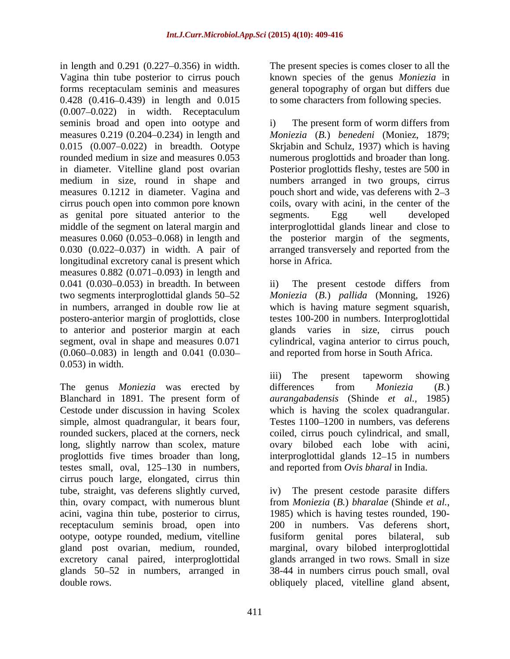in length and 0.291 (0.227–0.356) in width. The present species is comes closer to all the Vagina thin tube posterior to cirrus pouch known species of the genus *Moniezia* in forms receptaculam seminis and measures general topography of organ but differs due 0.428 (0.416–0.439) in length and 0.015  $(0.007 - 0.022)$  in width. Receptaculum seminis broad and open into ootype and i) The present form of worm differs from measures 0.219 (0.204 0.234) in length and *Moniezia* (*B.*) *benedeni* (Moniez, 1879; 0.015 (0.007–0.022) in breadth. Ootype Skrjabin and Schulz, 1937) which is having rounded medium in size and measures 0.053 numerous proglottids and broader than long. in diameter. Vitelline gland post ovarian Posterior proglottids fleshy, testes are 500 in medium in size, round in shape and numbers arranged in two groups, cirrus measures 0.1212 in diameter. Vagina and cirrus pouch open into common pore known coils, ovary with acini, in the center of the as genital pore situated anterior to the segments. Egg well developed middle of the segment on lateral margin and interproglottidal glands linear and close to measures 0.060 (0.053–0.068) in length and the posterior margin of the segments, 0.030 (0.022–0.037) in width. A pair of arranged transversely and reported from the longitudinal excretory canal is present which horse in Africa. measures  $0.882$  (0.071-0.093) in length and  $0.041$   $(0.030-0.053)$  in breadth. In between ii) The present cestode differs from two segments interproglottidal glands 50 52 *Moniezia* (*B.*) *pallida* (Monning, 1926) in numbers, arranged in double row lie at which is having mature segment squarish, postero-anterior margin of proglottids, close testes 100-200 in numbers. Interproglottidal to anterior and posterior margin at each glands varies in size, cirrus pouch segment, oval in shape and measures 0.071 cylindrical, vagina anterior to cirrus pouch,  $(0.060 - 0.083)$  in length and  $0.041$   $(0.030 -$  and reported from horse in South Africa. 0.053) in width.

The genus *Moniezia* was erected by differences from *Moniezia* (B.) Blanchard in 1891. The present form of *aurangabadensis* (Shinde *et al.,* 1985) Cestode under discussion in having Scolex which is having the scolex quadrangular. simple, almost quadrangular, it bears four, Testes 1100–1200 in numbers, vas deferens rounded suckers, placed at the corners, neck long, slightly narrow than scolex, mature proglottids five times broader than long, interproglottidal glands 12–15 in numbers testes small, oval,  $125-130$  in numbers, cirrus pouch large, elongated, cirrus thin tube, straight, vas deferens slightly curved, iv) The present cestode parasite differs thin, ovary compact, with numerous blunt acini, vagina thin tube, posterior to cirrus, receptaculum seminis broad, open into ootype, ootype rounded, medium, vitelline gland post ovarian, medium, rounded, marginal, ovary bilobed interproglottidal excretory canal paired, interproglottidal glands 50 52 in numbers, arranged in 38-44 in numbers cirrus pouch small, oval

to some characters from following species.

i) The present form of worm differs from pouch short and wide, vas deferens with 2–3 segments. Egg well developed horse in Africa.

ii) The present cestode differs from cylindrical, vagina anterior to cirrus pouch,<br>and reported from horse in South Africa.

iii) The present tapeworm showing differences from *Moniezia* (*B.*) coiled, cirrus pouch cylindrical, and small, ovary bilobed each lobe with acini, and reported from *Ovis bharal* in India.

double rows. obliquely placed, vitelline gland absent,from *Moniezia* (*B.*) *bharalae* (Shinde *et al.,*1985) which is having testes rounded, 190- 200 in numbers. Vas deferens short, fusiform genital pores bilateral, glands arranged in two rows. Small in size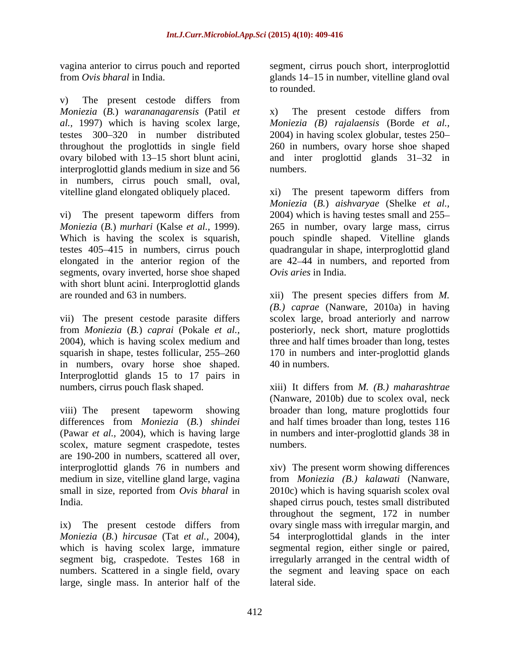v) The present cestode differs from *Moniezia* (*B.*) *warananagarensis* (Patil *et al.,* 1997) which is having scolex large, *Moniezia (B) rajalaensis* (Borde *et al.,* testes 300–320 in number distributed 2004) in having scolex globular, testes 250– throughout the proglottids in single field 260 in numbers, ovary horse shoe shaped ovary bilobed with 13–15 short blunt acini, and inter proglottid glands 31–32 in interproglottid glands medium in size and 56 in numbers, cirrus pouch small, oval, vitelline gland elongated obliquely placed. xi) The present tapeworm differs from

vi) The present tapeworm differs from segments, ovary inverted, horse shoe shaped with short blunt acini. Interproglottid glands

vii) The present cestode parasite differs scolex large, broad anteriorly and narrow from *Moniezia* (*B.*) *caprai* (Pokale *et al.,* posteriorly, neck short, mature proglottids 2004), which is having scolex medium and three and half times broader than long, testes squarish in shape, testes follicular, 255 260 170 in numbers and inter-proglottid glands in numbers, ovary horse shoe shaped. 40 in numbers. Interproglottid glands 15 to 17 pairs in numbers, cirrus pouch flask shaped. xiii) It differs from *M. (B.) maharashtrae*

viii) The present tapeworm showing broader than long, mature proglottids four differences from *Moniezia* (*B.*) *shindei* and half times broader than long, testes 116 (Pawar *et al.,* 2004), which is having large in numbers and inter-proglottid glands 38 in scolex, mature segment craspedote, testes are 190-200 in numbers, scattered all over,

segment big, craspedote. Testes 168 in large, single mass. In anterior half of the

vagina anterior to cirrus pouch and reported segment, cirrus pouch short, interproglottid from *Ovis bharal* in India. glands 14 15 in number, vitelline gland oval to rounded.

> x) The present cestode differs from numbers.

*Moniezia* (*B.*) *murhari* (Kalse *et al.,* 1999). 265 in number, ovary large mass, cirrus Which is having the scolex is squarish, pouch spindle shaped. Vitelline glands testes 405 415 in numbers, cirrus pouch quadrangular in shape, interproglottid gland elongated in the anterior region of the are 42 44 in numbers, and reported from *Moniezia* (*B.*) *aishvaryae* (Shelke *et al.,* 2004) which is having testes small and 255 *Ovis aries* in India.

are rounded and 63 in numbers. xii) The present species differs from *M. (B.) caprae* (Nanware, 2010a) in having 40 in numbers.

> (Nanware, 2010b) due to scolex oval, neck numbers.

interproglottid glands 76 in numbers and xiv) The present worm showing differences medium in size, vitelline gland large, vagina from *Moniezia (B.) kalawati* (Nanware, small in size, reported from *Ovis bharal* in 2010c) which is having squarish scolex oval India. shaped cirrus pouch, testes small distributed ix) The present cestode differs from ovary single mass with irregular margin, and *Moniezia* (*B.*) *hircusae* (Tat *et al.,* 2004), 54 interproglottidal glands in the inter which is having scolex large, immature segmental region, either single or paired, numbers. Scattered in a single field, ovary the segment and leaving space on each throughout the segment, 172 in number irregularly arranged in the central width of lateral side.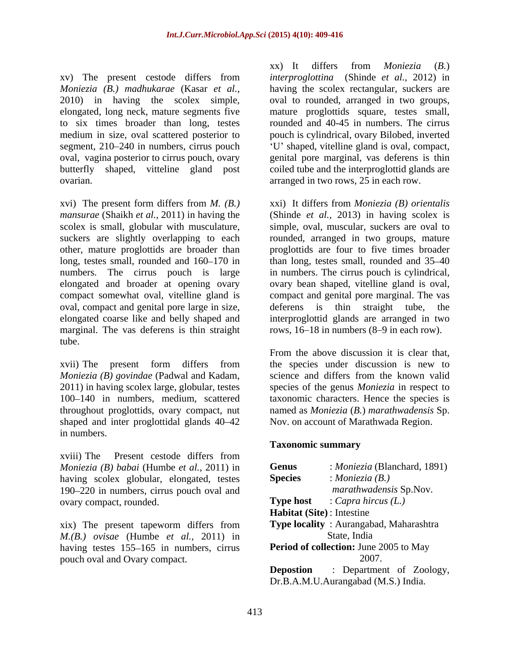xv) The present cestode differs from *Moniezia (B.) madhukarae* (Kasar *et al.,* having the scolex rectangular, suckers are 2010) in having the scolex simple, oval to rounded, arranged in two groups, elongated, long neck, mature segments five mature proglottids square, testes small, to six times broader than long, testes medium in size, oval scattered posterior to pouch is cylindrical, ovary Bilobed, inverted segment, 210–240 in numbers, cirrus pouch  $U'$  shaped, vitelline gland is oval, compact, oval, vagina posterior to cirrus pouch, ovary genital pore marginal, vas deferens is thin butterfly shaped, vitteline gland post coiled tube and the interproglottid glands are ovarian. arranged in two rows, 25 in each row.

xvi) The present form differs from *M. (B.)* suckers are slightly overlapping to each oval, compact and genital pore large in size, deferens is thin straight tube, the elongated coarse like and belly shaped and marginal. The vas deferens is thin straight tube.

shaped and inter proglottidal glands  $40-42$ in numbers.

xviii) The Present cestode differs from *Moniezia (B) babai* (Humbe *et al.,* 2011) in having scolex globular, elongated, testes 190 220 in numbers, cirrus pouch oval and ovary compact, rounded.

xix) The present tapeworm differs from *M.(B.) ovisae* (Humbe *et al.,* 2011) in having testes 155–165 in numbers, cirrus pouch oval and Ovary compact.

xx) It differs from *Moniezia* (*B.*) *interproglottina* (Shinde *et al.,* 2012) in rounded and 40-45 in numbers. The cirrus

*mansurae* (Shaikh *et al.,* 2011) in having the (Shinde *et al.,* 2013) in having scolex is scolex is small, globular with musculature, simple, oval, muscular, suckers are oval to other, mature proglottids are broader than proglottids are four to five times broader long, testes small, rounded and 160–170 in than long, testes small, rounded and 35–40 numbers. The cirrus pouch is large in numbers. The cirrus pouch is cylindrical, elongated and broader at opening ovary ovary bean shaped, vitelline gland is oval, compact somewhat oval, vitelline gland is compact and genital pore marginal. The vas xxi) It differs from *Moniezia (B) orientalis* rounded, arranged in two groups, mature is thin straight tube, interproglottid glands are arranged in two rows,  $16-18$  in numbers  $(8-9)$  in each row).

xvii) The present form differs from the species under discussion is new to *Moniezia (B) govindae* (Padwal and Kadam, science and differs from the known valid 2011) in having scolex large, globular, testes species of the genus *Moniezia* in respect to 100 140 in numbers, medium, scattered taxonomic characters. Hence the species is throughout proglottids, ovary compact, nut named as *Moniezia* (*B.*) *marathwadensis* Sp. From the above discussion it is clear that, the species under discussion is new to Nov. on account of Marathwada Region.

### **Taxonomic summary**

| <b>Genus</b>                                  | : <i>Moniezia</i> (Blanchard, 1891)    |
|-----------------------------------------------|----------------------------------------|
| <b>Species</b>                                | : Moniezia $(B.)$                      |
|                                               | <i>marathwadensis</i> Sp.Nov.          |
| <b>Type host</b>                              | : Capra hircus $(L)$                   |
| <b>Habitat (Site):</b> Intestine              |                                        |
|                                               | Type locality: Aurangabad, Maharashtra |
|                                               | State, India                           |
| <b>Period of collection:</b> June 2005 to May |                                        |
|                                               | 2007.                                  |
| <b>Depostion</b>                              | Department of Zoology,                 |
|                                               | Dr.B.A.M.U.Aurangabad (M.S.) India.    |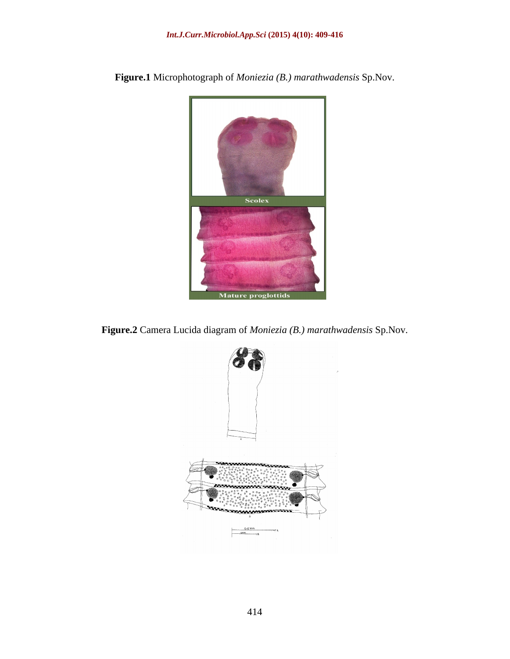

**Figure.1** Microphotograph of *Moniezia (B.) marathwadensis* Sp.Nov.

**Figure.2** Camera Lucida diagram of *Moniezia (B.) marathwadensis* Sp.Nov.

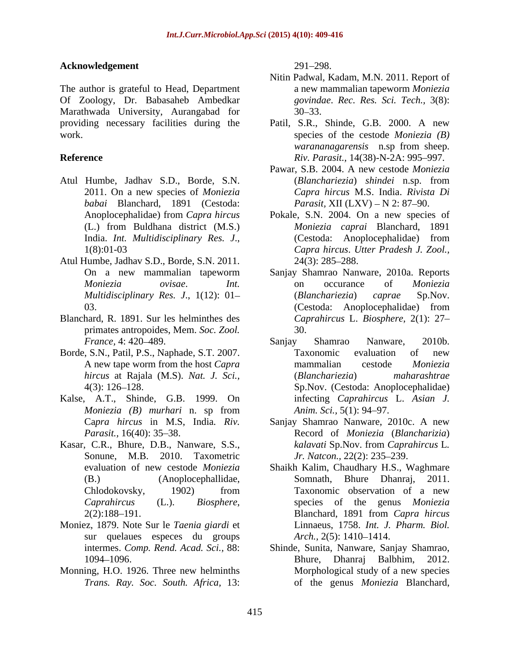### Acknowledgement 291–298.

The author is grateful to Head, Department Of Zoology, Dr. Babasaheb Ambedkar Marathwada University, Aurangabad for providing necessary facilities during the Patil, S.R., Shinde, G.B. 2000. A new

- Atul Humbe, Jadhav S.D., Borde, S.N. *babai* Blanchard, 1891 (Cestoda:
- Atul Humbe, Jadhav S.D., Borde, S.N. 2011.
- primates antropoides, Mem. *Soc. Zool.*
- Borde, S.N., Patil, P.S., Naphade, S.T. 2007. Taxonomic evaluation of new
- Kalse, A.T., Shinde, G.B. 1999. On
- Sonune, M.B. 2010. Taxometric
- Moniez, 1879. Note Sur le *Taenia giardi* et sur quelaues especes du groups *Arch.*, 2(5): 1410–1414.
- *Trans. Ray. Soc. South. Africa,* 13:

291 298.

- Nitin Padwal, Kadam, M.N. 2011. Report of a new mammalian tapeworm *Moniezia govindae*. *Rec. Res. Sci. Tech.,* 3(8):  $30 - 33$ .
- work. species of the cestode *Moniezia (B)* **Reference** Riv. Parasit., 14(38)-N-2A: 995–997. *warananagarensis* n.sp from sheep.
	- 2011. On a new species of *Moniezia Capra hircus* M.S. India. *Rivista Di* Pawar, S.B. 2004. A new cestode *Moniezia* (*Blanchariezia*) *shindei* n.sp. from *Parasit,* XII (LXV) – N 2: 87–90.
	- Anoplocephalidae) from *Capra hircus* Pokale, S.N. 2004. On a new species of (L.) from Buldhana district (M.S.) *Moniezia caprai* Blanchard, 1891 India. *Int. Multidisciplinary Res. J.*, (Cestoda: Anoplocephalidae) from<br>1(8):01-03 *Capra hircus. Utter Pradesh J. Zool.*, (Cestoda: Anoplocephalidae) from *Capra hircus*. *Utter Pradesh J. Zool.,* 24(3): 285 288.
- On a new mammalian tapeworm Sanjay Shamrao Nanware, 2010a. Reports *Moniezia ovisae*. *Int. Multidisciplinary Res. J*., 1(12): 01 03. (Cestoda: Anoplocephalidae) from Blanchard, R. 1891. Sur les helminthes des *Caprahircus* L. *Biosphere,* 2(1): 27 on occurance of *Moniezia* (*Blanchariezia*) *caprae* Sp.Nov. (Cestoda: Anoplocephalidae) from 30.
	- *France,* 4: 420–489. **Sanjay Shamrao Nanware**, 2010b. A new tape worm from the host *Capra hircus* at Rajala (M.S). *Nat. J. Sci.,* 4(3): 126 128. Sp.Nov. (Cestoda: Anoplocephalidae) *Moniezia (B) murhari* n. sp from Sanjay Shamrao Nanware, 2010b. Taxonomic evaluation of new mammalian cestode *Moniezia* (*Blanchariezia*) *maharashtrae* infecting *Caprahircus* L. *Asian J. Anim. Sci.,* 5(1): 94–97.
- Ca*pra hircus* in M.S, India*. Riv.*  Sanjay Shamrao Nanware, 2010c. A new Parasit., 16(40): 35–38. **Record of** *Moniezia* (*Blancharizia*) Kasar, C.R., Bhure, D.B., Nanware, S.S., kalavati Sp.Nov. from Caprahircus L. *kalavati* Sp.Nov. from *Caprahircus* L*. Jr. Natcon., 22(2): 235-239.* 
	- evaluation of new cestode *Moniezia* Shaikh Kalim, Chaudhary H.S., Waghmare (B.) (Anoplocephallidae, Somnath, Bhure Dhanraj, 2011. Chlodokovsky, 1902) from Taxonomic observation of a new *Caprahircus* (L.). *Biosphere*, 2(2):188 191. Taxonomic observation of a new species of the genus *Moniezia*  Blanchard, 1891 from *Capra hircus* Linnaeus, 1758. *Int. J. Pharm. Biol. Arch.,* 2(5): 1410–1414.
- intermes. *Comp. Rend. Acad. Sci.,* 88: Shinde, Sunita, Nanware, Sanjay Shamrao, 1094 1096. Monning, H.O. 1926. Three new helminths Morphological study of a new species Bhure, Dhanraj Balbhim, 2012. Morphological study of a new species of the genus *Moniezia* Blanchard,